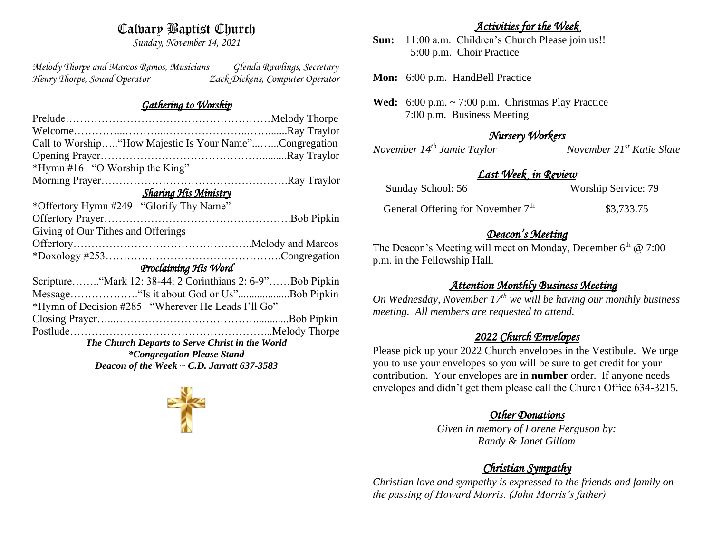## Calvary Baptist Church

*Sunday, November 14, 2021*

*Melody Thorpe and Marcos Ramos, Musicians Glenda Rawlings, Secretary Henry Thorpe, Sound Operator Zack Dickens, Computer Operator* 

### *Gathering to Worship*

| Call to Worship"How Majestic Is Your Name"Congregation    |  |  |
|-----------------------------------------------------------|--|--|
|                                                           |  |  |
| *Hymn #16 "O Worship the King"                            |  |  |
|                                                           |  |  |
| <b>Sharing His Ministry</b>                               |  |  |
| *Offertory Hymn #249 "Glorify Thy Name"                   |  |  |
|                                                           |  |  |
| Giving of Our Tithes and Offerings                        |  |  |
|                                                           |  |  |
|                                                           |  |  |
| Proclaiming His Word                                      |  |  |
| Scripture"Mark 12: 38-44; 2 Corinthians 2: 6-9"Bob Pipkin |  |  |
| Message"Is it about God or Us"Bob Pipkin                  |  |  |
| *Hymn of Decision #285 "Wherever He Leads I'll Go"        |  |  |
|                                                           |  |  |
|                                                           |  |  |
| The Church Departs to Serve Christ in the World           |  |  |
| <i>*Congregation Please Stand</i>                         |  |  |
| Deacon of the Week $\sim$ C.D. Jarratt 637-3583           |  |  |
|                                                           |  |  |

## *Activities for the Week*

**Sun:** 11:00 a.m. Children's Church Please join us!! 5:00 p.m. Choir Practice

**Mon:** 6:00 p.m. HandBell Practice

**Wed:** 6:00 p.m. ~ 7:00 p.m. Christmas Play Practice 7:00 p.m. Business Meeting

## *Nursery Workers*

*November 14th Jamie Taylor November 21st Katie Slate* 

## *Last Week in Review*

| Sunday School: 56                   | <b>Worship Service: 79</b> |
|-------------------------------------|----------------------------|
| General Offering for November $7th$ | \$3,733.75                 |

## *Deacon's Meeting*

The Deacon's Meeting will meet on Monday, December  $6<sup>th</sup>$  @ 7:00 p.m. in the Fellowship Hall.

## *Attention Monthly Business Meeting*

*On Wednesday, November 17th we will be having our monthly business meeting. All members are requested to attend.* 

## *2022 Church Envelopes*

Please pick up your 2022 Church envelopes in the Vestibule. We urge you to use your envelopes so you will be sure to get credit for your contribution. Your envelopes are in **number** order.If anyone needs envelopes and didn't get them please call the Church Office 634-3215.

## *Other Donations*

*Given in memory of Lorene Ferguson by: Randy & Janet Gillam* 

## *Christian Sympathy*

*Christian love and sympathy is expressed to the friends and family on the passing of Howard Morris. (John Morris's father)* 

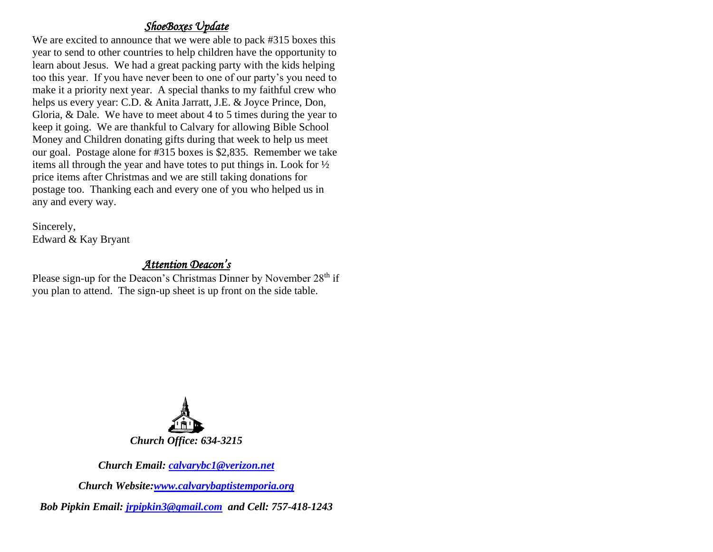## *ShoeBoxes Update*

We are excited to announce that we were able to pack #315 boxes this year to send to other countries to help children have the opportunity to learn about Jesus. We had a great packing party with the kids helping too this year. If you have never been to one of our party's you need to make it a priority next year. A special thanks to my faithful crew who helps us every year: C.D. & Anita Jarratt, J.E. & Joyce Prince, Don, Gloria, & Dale. We have to meet about 4 to 5 times during the year to keep it going. We are thankful to Calvary for allowing Bible School Money and Children donating gifts during that week to help us meet our goal. Postage alone for #315 boxes is \$2,835. Remember we take items all through the year and have totes to put things in. Look for ½ price items after Christmas and we are still taking donations for postage too. Thanking each and every one of you who helped us in any and every way.

Sincerely, Edward & Kay Bryant

## *Attention Deacon's*

Please sign-up for the Deacon's Christmas Dinner by November  $28<sup>th</sup>$  if you plan to attend. The sign-up sheet is up front on the side table.



*Church Email: [calvarybc1@verizon.net](mailto:cbcemporiaoffice@gmail.com)*

*Church Website[:www.calvarybaptistemporia.org](http://www.calvarybaptistemporia.org/)*

*Bob Pipkin Email: [jrpipkin3@gmail.com](mailto:jrpipkin3@gmail.com) and Cell: 757-418-1243*